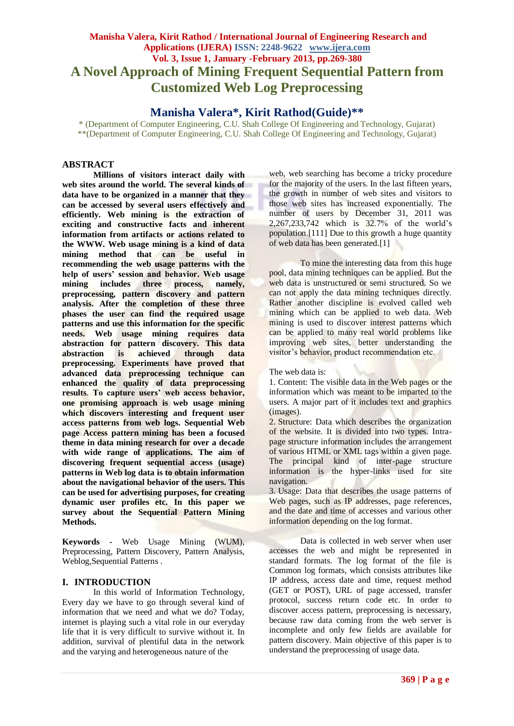# **Manisha Valera, Kirit Rathod / International Journal of Engineering Research and Applications (IJERA) ISSN: 2248-9622 www.ijera.com Vol. 3, Issue 1, January -February 2013, pp.269-380 A Novel Approach of Mining Frequent Sequential Pattern from Customized Web Log Preprocessing**

# **Manisha Valera\*, Kirit Rathod(Guide)\*\***

\* (Department of Computer Engineering, C.U. Shah College Of Engineering and Technology, Gujarat) \*\*(Department of Computer Engineering, C.U. Shah College Of Engineering and Technology, Gujarat)

# **ABSTRACT**

**Millions of visitors interact daily with web sites around the world. The several kinds of data have to be organized in a manner that they can be accessed by several users effectively and efficiently. Web mining is the extraction of exciting and constructive facts and inherent information from artifacts or actions related to the WWW. Web usage mining is a kind of data mining method that can be useful in recommending the web usage patterns with the help of users' session and behavior. Web usage mining includes three process, namely, preprocessing, pattern discovery and pattern analysis. After the completion of these three phases the user can find the required usage patterns and use this information for the specific needs. Web usage mining requires data abstraction for pattern discovery. This data abstraction is achieved through data preprocessing. Experiments have proved that advanced data preprocessing technique can enhanced the quality of data preprocessing results***.* **To capture users' web access behavior, one promising approach is web usage mining which discovers interesting and frequent user access patterns from web logs. Sequential Web page Access pattern mining has been a focused theme in data mining research for over a decade with wide range of applications. The aim of discovering frequent sequential access (usage) patterns in Web log data is to obtain information about the navigational behavior of the users. This can be used for advertising purposes, for creating dynamic user profiles etc. In this paper we survey about the Sequential Pattern Mining Methods.**

**Keywords -** Web Usage Mining (WUM), Preprocessing, Pattern Discovery, Pattern Analysis, Weblog,Sequential Patterns .

# **I. INTRODUCTION**

In this world of Information Technology, Every day we have to go through several kind of information that we need and what we do? Today, internet is playing such a vital role in our everyday life that it is very difficult to survive without it. In addition, survival of plentiful data in the network and the varying and heterogeneous nature of the

web, web searching has become a tricky procedure for the majority of the users. In the last fifteen years, the growth in number of web sites and visitors to those web sites has increased exponentially. The number of users by December 31, 2011 was 2,267,233,742 which is 32.7% of the world"s population.[111] Due to this growth a huge quantity of web data has been generated.[1]

To mine the interesting data from this huge pool, data mining techniques can be applied. But the web data is unstructured or semi structured. So we can not apply the data mining techniques directly. Rather another discipline is evolved called web mining which can be applied to web data. Web mining is used to discover interest patterns which can be applied to many real world problems like improving web sites, better understanding the visitor"s behavior, product recommendation etc.

1. Content: The visible data in the Web pages or the information which was meant to be imparted to the users. A major part of it includes text and graphics (images).

2. Structure: Data which describes the organization of the website. It is divided into two types. Intrapage structure information includes the arrangement of various HTML or XML tags within a given page. The principal kind of inter-page structure information is the hyper-links used for site navigation.

3. Usage: Data that describes the usage patterns of Web pages, such as IP addresses, page references, and the date and time of accesses and various other information depending on the log format.

Data is collected in web server when user accesses the web and might be represented in standard formats. The log format of the file is Common log formats, which consists attributes like IP address, access date and time, request method (GET or POST), URL of page accessed, transfer protocol, success return code etc. In order to discover access pattern, preprocessing is necessary, because raw data coming from the web server is incomplete and only few fields are available for pattern discovery. Main objective of this paper is to understand the preprocessing of usage data.

The web data is: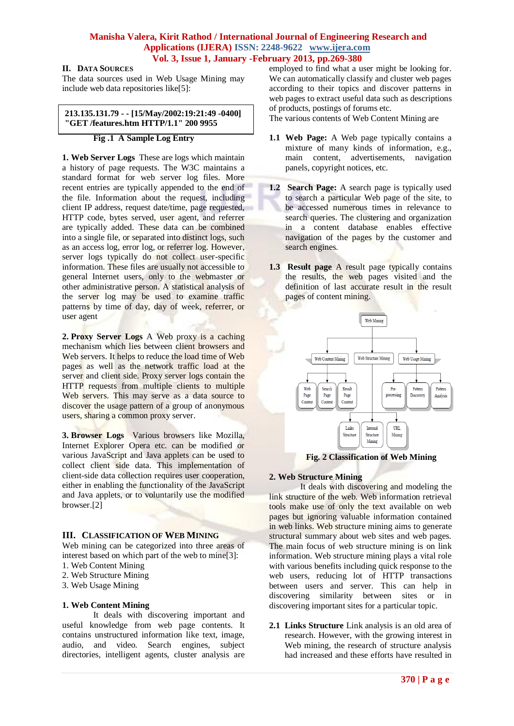# **II. DATA SOURCES**

The data sources used in Web Usage Mining may include web data repositories like[5]:

#### **213.135.131.79 - - [15/May/2002:19:21:49 -0400] "GET /features.htm HTTP/1.1" 200 9955**

### **Fig .1 A Sample Log Entry**

**1. Web Server Logs** These are logs which maintain a history of page requests. The W3C maintains a standard format for web server log files. More recent entries are typically appended to the end of the file. Information about the request, including client IP address, request date/time, page requested, HTTP code, bytes served, user agent, and referrer are typically added. These data can be combined into a single file, or separated into distinct logs, such as an access log, error log, or referrer log. However, server logs typically do not collect user-specific information. These files are usually not accessible to general Internet users, only to the webmaster or other administrative person. A statistical analysis of the server log may be used to examine traffic patterns by time of day, day of week, referrer, or user agent

**2. Proxy Server Logs** A Web proxy is a caching mechanism which lies between client browsers and Web servers. It helps to reduce the load time of Web pages as well as the network traffic load at the server and client side. Proxy server logs contain the HTTP requests from multiple clients to multiple Web servers. This may serve as a data source to discover the usage pattern of a group of anonymous users, sharing a common proxy server.

**3. Browser Logs** Various browsers like Mozilla, Internet Explorer Opera etc. can be modified or various JavaScript and Java applets can be used to collect client side data. This implementation of client-side data collection requires user cooperation, either in enabling the functionality of the JavaScript and Java applets, or to voluntarily use the modified browser.[2]

# **III. CLASSIFICATION OF WEB MINING**

Web mining can be categorized into three areas of interest based on which part of the web to mine[3]:

- 1. Web Content Mining
- 2. Web Structure Mining
- 3. Web Usage Mining

#### **1. Web Content Mining**

It deals with discovering important and useful knowledge from web page contents. It contains unstructured information like text, image, audio, and video. Search engines, subject directories, intelligent agents, cluster analysis are employed to find what a user might be looking for. We can automatically classify and cluster web pages according to their topics and discover patterns in web pages to extract useful data such as descriptions of products, postings of forums etc.

The various contents of Web Content Mining are

- **1.1 Web Page:** A Web page typically contains a mixture of many kinds of information, e.g., main content, advertisements, navigation panels, copyright notices, etc.
- **1.2 Search Page:** A search page is typically used to search a particular Web page of the site, to be accessed numerous times in relevance to search queries. The clustering and organization in a content database enables effective navigation of the pages by the customer and search engines.
- **1.3 Result page** A result page typically contains the results, the web pages visited and the definition of last accurate result in the result pages of content mining.



 **Fig. 2 Classification of Web Mining** 

# **2. Web Structure Mining**

It deals with discovering and modeling the link structure of the web. Web information retrieval tools make use of only the text available on web pages but ignoring valuable information contained in web links. Web structure mining aims to generate structural summary about web sites and web pages. The main focus of web structure mining is on link information. Web structure mining plays a vital role with various benefits including quick response to the web users, reducing lot of HTTP transactions between users and server. This can help in discovering similarity between sites or in discovering important sites for a particular topic.

**2.1 Links Structure** Link analysis is an old area of research. However, with the growing interest in Web mining, the research of structure analysis had increased and these efforts have resulted in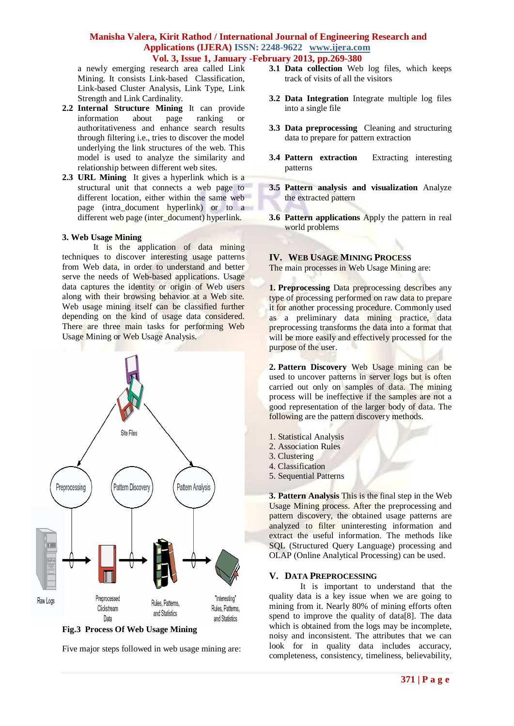a newly emerging research area called Link Mining. It consists Link-based Classification, Link-based Cluster Analysis, Link Type, Link Strength and Link Cardinality.

- **2.2 Internal Structure Mining** It can provide information about page ranking or authoritativeness and enhance search results through filtering i.e., tries to discover the model underlying the link structures of the web. This model is used to analyze the similarity and relationship between different web sites.
- **2.3 URL Mining** It gives a hyperlink which is a structural unit that connects a web page to different location, either within the same web page (intra\_document hyperlink) or to a different web page (inter\_document) hyperlink.

#### **3. Web Usage Mining**

It is the application of data mining techniques to discover interesting usage patterns from Web data, in order to understand and better serve the needs of Web-based applications. Usage data captures the identity or origin of Web users along with their browsing behavior at a Web site. Web usage mining itself can be classified further depending on the kind of usage data considered. There are three main tasks for performing Web Usage Mining or Web Usage Analysis.



**Fig.3 Process Of Web Usage Mining**

Five major steps followed in web usage mining are:

- **3.1 Data collection** Web log files, which keeps track of visits of all the visitors
- **3.2 Data Integration** Integrate multiple log files into a single file
- **3.3 Data preprocessing** Cleaning and structuring data to prepare for pattern extraction
- **3.4 Pattern extraction** Extracting interesting patterns
- **3.5 Pattern analysis and visualization** Analyze the extracted pattern
- **3.6 Pattern applications** Apply the pattern in real world problems

#### **IV. WEB USAGE MINING PROCESS**

The main processes in Web Usage Mining are:

**1. Preprocessing** Data preprocessing describes any type of processing performed on raw data to prepare it for another processing procedure. Commonly used as a preliminary data mining practice, data preprocessing transforms the data into a format that will be more easily and effectively processed for the purpose of the user.

**2. Pattern Discovery** Web Usage mining can be used to uncover patterns in server logs but is often carried out only on samples of data. The mining process will be ineffective if the samples are not a good representation of the larger body of data. The following are the pattern discovery methods.

- 1. Statistical Analysis
- 2. Association Rules
- 3. Clustering
- 4. Classification
- 5. Sequential Patterns

**3. Pattern Analysis** This is the final step in the Web Usage Mining process. After the preprocessing and pattern discovery, the obtained usage patterns are analyzed to filter uninteresting information and extract the useful information. The methods like SQL (Structured Query Language) processing and OLAP (Online Analytical Processing) can be used.

#### **V. DATA PREPROCESSING**

It is important to understand that the quality data is a key issue when we are going to mining from it. Nearly 80% of mining efforts often spend to improve the quality of data[8]. The data which is obtained from the logs may be incomplete, noisy and inconsistent. The attributes that we can look for in quality data includes accuracy, completeness, consistency, timeliness, believability,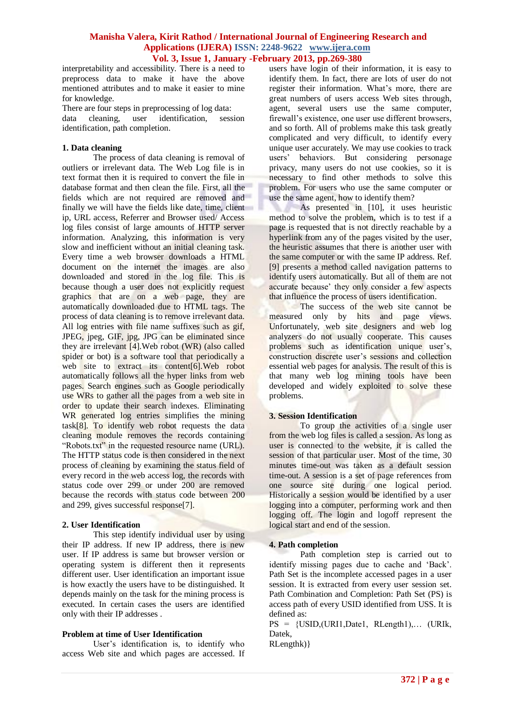interpretability and accessibility. There is a need to preprocess data to make it have the above mentioned attributes and to make it easier to mine for knowledge.

There are four steps in preprocessing of log data: data cleaning, user identification, session identification, path completion.

### **1. Data cleaning**

The process of data cleaning is removal of outliers or irrelevant data. The Web Log file is in text format then it is required to convert the file in database format and then clean the file. First, all the fields which are not required are removed and finally we will have the fields like date, time, client ip, URL access, Referrer and Browser used/ Access log files consist of large amounts of HTTP server information. Analyzing, this information is very slow and inefficient without an initial cleaning task. Every time a web browser downloads a HTML document on the internet the images are also downloaded and stored in the log file. This is because though a user does not explicitly request graphics that are on a web page, they are automatically downloaded due to HTML tags. The process of data cleaning is to remove irrelevant data. All log entries with file name suffixes such as gif. JPEG, jpeg, GIF, jpg, JPG can be eliminated since they are irrelevant [4].Web robot (WR) (also called spider or bot) is a software tool that periodically a web site to extract its content[6]. Web robot automatically follows all the hyper links from web pages. Search engines such as Google periodically use WRs to gather all the pages from a web site in order to update their search indexes. Eliminating WR generated log entries simplifies the mining task[8]. To identify web robot requests the data cleaning module removes the records containing "Robots.txt" in the requested resource name (URL). The HTTP status code is then considered in the next process of cleaning by examining the status field of every record in the web access log, the records with status code over 299 or under 200 are removed because the records with status code between 200 and 299, gives successful response[7].

#### **2. User Identification**

This step identify individual user by using their IP address. If new IP address, there is new user. If IP address is same but browser version or operating system is different then it represents different user. User identification an important issue is how exactly the users have to be distinguished. It depends mainly on the task for the mining process is executed. In certain cases the users are identified only with their IP addresses .

# **Problem at time of User Identification**

User's identification is, to identify who access Web site and which pages are accessed. If users have login of their information, it is easy to identify them. In fact, there are lots of user do not register their information. What"s more, there are great numbers of users access Web sites through, agent, several users use the same computer, firewall's existence, one user use different browsers, and so forth. All of problems make this task greatly complicated and very difficult, to identify every unique user accurately. We may use cookies to track users" behaviors. But considering personage privacy, many users do not use cookies, so it is necessary to find other methods to solve this problem. For users who use the same computer or use the same agent, how to identify them?

As presented in [10], it uses heuristic method to solve the problem, which is to test if a page is requested that is not directly reachable by a hyperlink from any of the pages visited by the user, the heuristic assumes that there is another user with the same computer or with the same IP address. Ref. [9] presents a method called navigation patterns to identify users automatically. But all of them are not accurate because' they only consider a few aspects that influence the process of users identification.

The success of the web site cannot be measured only by hits and page views. Unfortunately, web site designers and web log analyzers do not usually cooperate. This causes problems such as identification unique user's. construction discrete user's sessions and collection essential web pages for analysis. The result of this is that many web log mining tools have been developed and widely exploited to solve these problems.

#### **3. Session Identification**

To group the activities of a single user from the web log files is called a session. As long as user is connected to the website, it is called the session of that particular user. Most of the time, 30 minutes time-out was taken as a default session time-out. A session is a set of page references from one source site during one logical period. Historically a session would be identified by a user logging into a computer, performing work and then logging off. The login and logoff represent the logical start and end of the session.

#### **4. Path completion**

Path completion step is carried out to identify missing pages due to cache and "Back". Path Set is the incomplete accessed pages in a user session. It is extracted from every user session set. Path Combination and Completion: Path Set (PS) is access path of every USID identified from USS. It is defined as:

PS = {USID,(URI1,Date1, RLength1),… (URIk, Datek,

RLengthk)}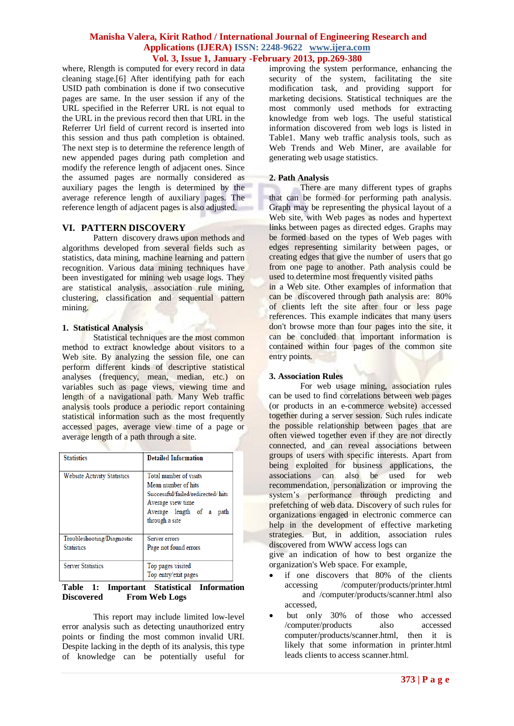where, Rlength is computed for every record in data cleaning stage.[6] After identifying path for each USID path combination is done if two consecutive pages are same. In the user session if any of the URL specified in the Referrer URL is not equal to the URL in the previous record then that URL in the Referrer Url field of current record is inserted into this session and thus path completion is obtained. The next step is to determine the reference length of new appended pages during path completion and modify the reference length of adjacent ones. Since the assumed pages are normally considered as auxiliary pages the length is determined by the average reference length of auxiliary pages. The reference length of adjacent pages is also adjusted.

### **VI. PATTERN DISCOVERY**

Pattern discovery draws upon methods and algorithms developed from several fields such as statistics, data mining, machine learning and pattern recognition. Various data mining techniques have been investigated for mining web usage logs. They are statistical analysis, association rule mining, clustering, classification and sequential pattern mining.

### **1. Statistical Analysis**

Statistical techniques are the most common method to extract knowledge about visitors to a Web site. By analyzing the session file, one can perform different kinds of descriptive statistical analyses (frequency, mean, median, etc.) on variables such as page views, viewing time and length of a navigational path. Many Web traffic analysis tools produce a periodic report containing statistical information such as the most frequently accessed pages, average view time of a page or average length of a path through a site.

| <b>Statistics</b>                               | <b>Detailed Information</b>                                                                                                                               |  |  |  |  |  |
|-------------------------------------------------|-----------------------------------------------------------------------------------------------------------------------------------------------------------|--|--|--|--|--|
| <b>Website Activity Statistics</b>              | Total number of visits<br>Mean number of hits<br>Successful/failed/redirected/ hits<br>Average view time<br>Average length of a<br>path<br>through a site |  |  |  |  |  |
| Troubleshooting/Diagnostic<br><b>Statistics</b> | Server errors<br>Page not found errors                                                                                                                    |  |  |  |  |  |
| <b>Server Statistics</b>                        | Top pages visited<br>Top entry/exit pages                                                                                                                 |  |  |  |  |  |

#### **Table 1: Important Statistical Information Discovered From Web Logs**

This report may include limited low-level error analysis such as detecting unauthorized entry points or finding the most common invalid URI. Despite lacking in the depth of its analysis, this type of knowledge can be potentially useful for improving the system performance, enhancing the security of the system, facilitating the site modification task, and providing support for marketing decisions. Statistical techniques are the most commonly used methods for extracting knowledge from web logs. The useful statistical information discovered from web logs is listed in Table1. Many web traffic analysis tools, such as Web Trends and Web Miner, are available for generating web usage statistics.

#### **2. Path Analysis**

There are many different types of graphs that can be formed for performing path analysis. Graph may be representing the physical layout of a Web site, with Web pages as nodes and hypertext links between pages as directed edges. Graphs may be formed based on the types of Web pages with edges representing similarity between pages, or creating edges that give the number of users that go from one page to another. Path analysis could be used to determine most frequently visited paths in a Web site. Other examples of information that

can be discovered through path analysis are: 80% of clients left the site after four or less page references. This example indicates that many users don't browse more than four pages into the site, it can be concluded that important information is contained within four pages of the common site entry points.

#### **3. Association Rules**

For web usage mining, association rules can be used to find correlations between web pages (or products in an e-commerce website) accessed together during a server session. Such rules indicate the possible relationship between pages that are often viewed together even if they are not directly connected, and can reveal associations between groups of users with specific interests. Apart from being exploited for business applications, the associations can also be used for web associations can also be used for recommendation, personalization or improving the system"s performance through predicting and prefetching of web data. Discovery of such rules for organizations engaged in electronic commerce can help in the development of effective marketing strategies. But, in addition, association rules discovered from WWW access logs can

give an indication of how to best organize the organization's Web space. For example,

- if one discovers that 80% of the clients<br>accessing /computer/products/printer.html /computer/products/printer.html and /computer/products/scanner.html also accessed,
- but only 30% of those who accessed /computer/products also accessed computer/products/scanner.html, then it is likely that some information in printer.html leads clients to access scanner.html.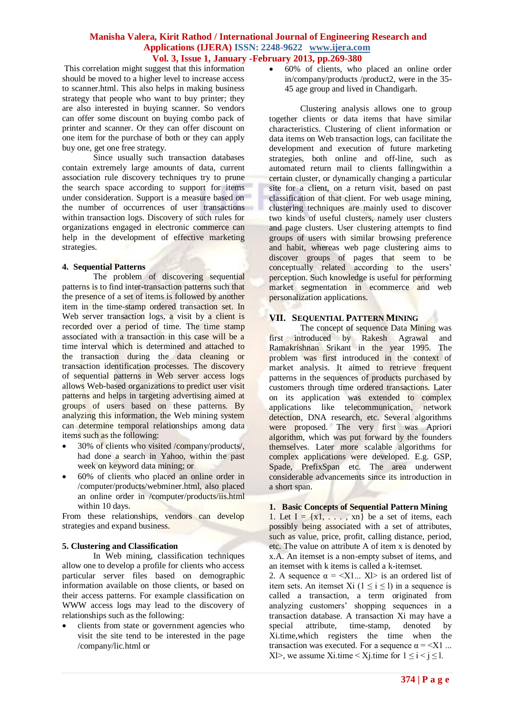This correlation might suggest that this information should be moved to a higher level to increase access to scanner.html. This also helps in making business strategy that people who want to buy printer; they are also interested in buying scanner. So vendors can offer some discount on buying combo pack of printer and scanner. Or they can offer discount on one item for the purchase of both or they can apply buy one, get one free strategy.

Since usually such transaction databases contain extremely large amounts of data, current association rule discovery techniques try to prune the search space according to support for items under consideration. Support is a measure based on the number of occurrences of user transactions within transaction logs. Discovery of such rules for organizations engaged in electronic commerce can help in the development of effective marketing strategies.

#### **4. Sequential Patterns**

The problem of discovering sequential patterns is to find inter-transaction patterns such that the presence of a set of items is followed by another item in the time-stamp ordered transaction set. In Web server transaction logs, a visit by a client is recorded over a period of time. The time stamp associated with a transaction in this case will be a time interval which is determined and attached to the transaction during the data cleaning or transaction identification processes. The discovery of sequential patterns in Web server access logs allows Web-based organizations to predict user visit patterns and helps in targeting advertising aimed at groups of users based on these patterns. By analyzing this information, the Web mining system can determine temporal relationships among data items such as the following:

- 30% of clients who visited /company/products/, had done a search in Yahoo, within the past week on keyword data mining; or
- 60% of clients who placed an online order in /computer/products/webminer.html, also placed an online order in /computer/products/iis.html within 10 days.

From these relationships, vendors can develop strategies and expand business.

#### **5. Clustering and Classification**

In Web mining, classification techniques allow one to develop a profile for clients who access particular server files based on demographic information available on those clients, or based on their access patterns. For example classification on WWW access logs may lead to the discovery of relationships such as the following:

 clients from state or government agencies who visit the site tend to be interested in the page /company/lic.html or

 60% of clients, who placed an online order in/company/products /product2, were in the 35- 45 age group and lived in Chandigarh.

Clustering analysis allows one to group together clients or data items that have similar characteristics. Clustering of client information or data items on Web transaction logs, can facilitate the development and execution of future marketing strategies, both online and off-line, such as automated return mail to clients fallingwithin a certain cluster, or dynamically changing a particular site for a client, on a return visit, based on past classification of that client. For web usage mining, clustering techniques are mainly used to discover two kinds of useful clusters, namely user clusters and page clusters. User clustering attempts to find groups of users with similar browsing preference and habit, whereas web page clustering aims to discover groups of pages that seem to be conceptually related according to the users' perception. Such knowledge is useful for performing market segmentation in ecommerce and web personalization applications.

# **VII. SEQUENTIAL PATTERN MINING**

The concept of sequence Data Mining was first introduced by Rakesh Agrawal and Ramakrishnan Srikant in the year 1995. The problem was first introduced in the context of market analysis. It aimed to retrieve frequent patterns in the sequences of products purchased by customers through time ordered transactions. Later on its application was extended to complex applications like telecommunication, network detection, DNA research, etc. Several algorithms were proposed. The very first was Apriori algorithm, which was put forward by the founders themselves. Later more scalable algorithms for complex applications were developed. E.g. GSP, Spade, PrefixSpan etc. The area underwent considerable advancements since its introduction in a short span.

# **1. Basic Concepts of Sequential Pattern Mining**

1. Let  $I = \{x1, \ldots, xn\}$  be a set of items, each possibly being associated with a set of attributes, such as value, price, profit, calling distance, period, etc. The value on attribute A of item x is denoted by x.A. An itemset is a non-empty subset of items, and an itemset with k items is called a k-itemset.

2. A sequence  $\alpha = \langle X1... X1 \rangle$  is an ordered list of item sets. An itemset Xi ( $1 \le i \le l$ ) in a sequence is called a transaction, a term originated from analyzing customers" shopping sequences in a transaction database. A transaction Xi may have a special attribute, time-stamp, denoted by Xi.time,which registers the time when the transaction was executed. For a sequence  $\alpha = \langle X1 \rangle$ ... Xl>, we assume Xi.time < Xi.time for  $1 \le i \le j \le 1$ .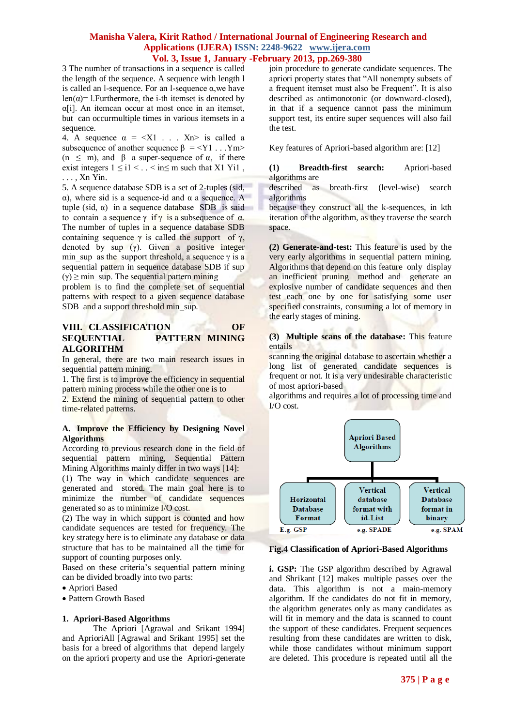3 The number of transactions in a sequence is called the length of the sequence. A sequence with length l is called an l-sequence. For an l-sequence α,we have len( $\alpha$ )= l. Furthermore, the i-th itemset is denoted by α[i]. An itemcan occur at most once in an itemset, but can occurmultiple times in various itemsets in a sequence.

4. A sequence  $\alpha = \langle X1 \rangle$ .  $\langle Xn \rangle$  is called a subsequence of another sequence  $\beta = \langle Y1 \dots Ym \rangle$ (n  $\leq$  m), and  $\beta$  a super-sequence of  $\alpha$ , if there exist integers  $1 \le i1 < ... < in \le m$  such that X1 Yi1. . . . , Xn Yin.

5. A sequence database SDB is a set of 2-tuples (sid, α), where sid is a sequence-id and α a sequence. A tuple (sid,  $α$ ) in a sequence database SDB is said to contain a sequence γ if γ is a subsequence of  $\alpha$ . The number of tuples in a sequence database SDB containing sequence  $\gamma$  is called the support of  $\gamma$ , denoted by sup  $(y)$ . Given a positive integer min sup as the support threshold, a sequence  $\gamma$  is a sequential pattern in sequence database SDB if sup  $(y) \ge$  min sup. The sequential pattern mining

problem is to find the complete set of sequential patterns with respect to a given sequence database SDB and a support threshold min\_sup.

# **VIII. CLASSIFICATION OF SEQUENTIAL PATTERN MINING ALGORITHM**

In general, there are two main research issues in sequential pattern mining.

1. The first is to improve the efficiency in sequential pattern mining process while the other one is to

2. Extend the mining of sequential pattern to other time-related patterns.

### **A. Improve the Efficiency by Designing Novel Algorithms**

According to previous research done in the field of sequential pattern mining, Sequential Pattern Mining Algorithms mainly differ in two ways [14]:

(1) The way in which candidate sequences are generated and stored. The main goal here is to minimize the number of candidate sequences generated so as to minimize I/O cost.

(2) The way in which support is counted and how candidate sequences are tested for frequency. The key strategy here is to eliminate any database or data structure that has to be maintained all the time for support of counting purposes only.

Based on these criteria's sequential pattern mining can be divided broadly into two parts:

- Apriori Based
- Pattern Growth Based

#### **1. Apriori-Based Algorithms**

The Apriori [Agrawal and Srikant 1994] and AprioriAll [Agrawal and Srikant 1995] set the basis for a breed of algorithms that depend largely on the apriori property and use the Apriori-generate join procedure to generate candidate sequences. The apriori property states that "All nonempty subsets of a frequent itemset must also be Frequent". It is also described as antimonotonic (or downward-closed), in that if a sequence cannot pass the minimum support test, its entire super sequences will also fail the test.

Key features of Apriori-based algorithm are: [12]

**(1) Breadth-first search:** Apriori-based algorithms are

described as breath-first (level-wise) search algorithms

because they construct all the k-sequences, in kth iteration of the algorithm, as they traverse the search space.

**(2) Generate-and-test:** This feature is used by the very early algorithms in sequential pattern mining. Algorithms that depend on this feature only display an inefficient pruning method and generate an explosive number of candidate sequences and then test each one by one for satisfying some user specified constraints, consuming a lot of memory in the early stages of mining.

#### **(3) Multiple scans of the database:** This feature entails

scanning the original database to ascertain whether a long list of generated candidate sequences is frequent or not. It is a very undesirable characteristic of most apriori-based

algorithms and requires a lot of processing time and I/O cost.



#### **Fig.4 Classification of Apriori-Based Algorithms**

**i. GSP:** The GSP algorithm described by Agrawal and Shrikant [12] makes multiple passes over the data. This algorithm is not a main-memory algorithm. If the candidates do not fit in memory, the algorithm generates only as many candidates as will fit in memory and the data is scanned to count the support of these candidates. Frequent sequences resulting from these candidates are written to disk, while those candidates without minimum support are deleted. This procedure is repeated until all the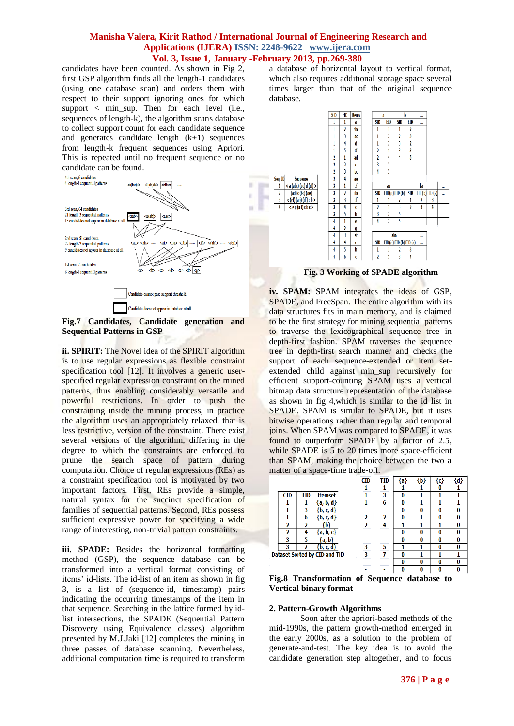Seq. ID

 $\overline{2}$ 

×

× ÷

 $\sim$ 

candidates have been counted. As shown in Fig 2, first GSP algorithm finds all the length-1 candidates (using one database scan) and orders them with respect to their support ignoring ones for which support < min\_sup. Then for each level (i.e., sequences of length-k), the algorithm scans database to collect support count for each candidate sequence and generates candidate length  $(k+1)$  sequences from length-k frequent sequences using Apriori. This is repeated until no frequent sequence or no candidate can be found.



**Fig.7 Candidates, Candidate generation and Sequential Patterns in GSP**

**ii. SPIRIT:** The Novel idea of the SPIRIT algorithm is to use regular expressions as flexible constraint specification tool [12]. It involves a generic userspecified regular expression constraint on the mined patterns, thus enabling considerably versatile and powerful restrictions. In order to push the constraining inside the mining process, in practice the algorithm uses an appropriately relaxed, that is less restrictive, version of the constraint. There exist several versions of the algorithm, differing in the degree to which the constraints are enforced to prune the search space of pattern during computation. Choice of regular expressions (REs) as a constraint specification tool is motivated by two important factors. First, REs provide a simple, natural syntax for the succinct specification of families of sequential patterns. Second, REs possess sufficient expressive power for specifying a wide range of interesting, non-trivial pattern constraints.

**iii. SPADE:** Besides the horizontal formatting method (GSP), the sequence database can be transformed into a vertical format consisting of items' id-lists. The id-list of an item as shown in fig 3, is a list of (sequence-id, timestamp) pairs indicating the occurring timestamps of the item in that sequence. Searching in the lattice formed by idlist intersections, the SPADE (Sequential Pattern Discovery using Equivalence classes) algorithm presented by M.J.Jaki [12] completes the mining in three passes of database scanning. Nevertheless, additional computation time is required to transform a database of horizontal layout to vertical format, which also requires additional storage space several times larger than that of the original sequence database.



 **Fig. 3 Working of SPADE algorithm**

**iv. SPAM:** SPAM integrates the ideas of GSP, SPADE, and FreeSpan. The entire algorithm with its data structures fits in main memory, and is claimed to be the first strategy for mining sequential patterns to traverse the lexicographical sequence tree in depth-first fashion. SPAM traverses the sequence tree in depth-first search manner and checks the support of each sequence-extended or item setextended child against min\_sup recursively for efficient support-counting SPAM uses a vertical bitmap data structure representation of the database as shown in fig 4,which is similar to the id list in SPADE. SPAM is similar to SPADE, but it uses bitwise operations rather than regular and temporal joins. When SPAM was compared to SPADE, it was found to outperform SPADE by a factor of 2.5, while SPADE is 5 to 20 times more space-efficient than SPAM, making the choice between the two a matter of a space-time trade-off.

|                          |     |                               | <b>CID</b> | <b>TID</b> | {a} | {b} | {c} | {d} |
|--------------------------|-----|-------------------------------|------------|------------|-----|-----|-----|-----|
|                          |     |                               |            |            |     |     | 0   |     |
| <b>CID</b>               | TID | <b>Itemset</b>                |            | 3          | 0   |     |     |     |
|                          |     | {a, b, d}                     |            | 6          | 0   |     |     |     |
|                          | 3   | ${b, c, d}$                   |            |            | 0   |     | 0   |     |
|                          | 6   | ${b, c, d}$                   | 2          | າ          | 0   |     | 0   |     |
| 2                        | 2   | ${b}$                         | ำ          |            |     |     |     |     |
| $\overline{\phantom{a}}$ | 4   | <b>a</b> , b, c}              |            |            | 0   |     | O   |     |
| 3                        | 5   | {a, b}                        |            |            | 0   |     | O   |     |
| з                        |     | ${b, c, d}$                   | 3          | 5          |     |     | 0   |     |
|                          |     | Dataset Sorted by CID and TID | 3          |            | 0   |     |     |     |
|                          |     |                               |            |            | 0   |     | 0   |     |

**Fig.8 Transformation of Sequence database to Vertical binary format**

#### **2. Pattern-Growth Algorithms**

Soon after the apriori-based methods of the mid-1990s, the pattern growth-method emerged in the early 2000s, as a solution to the problem of generate-and-test. The key idea is to avoid the candidate generation step altogether, and to focus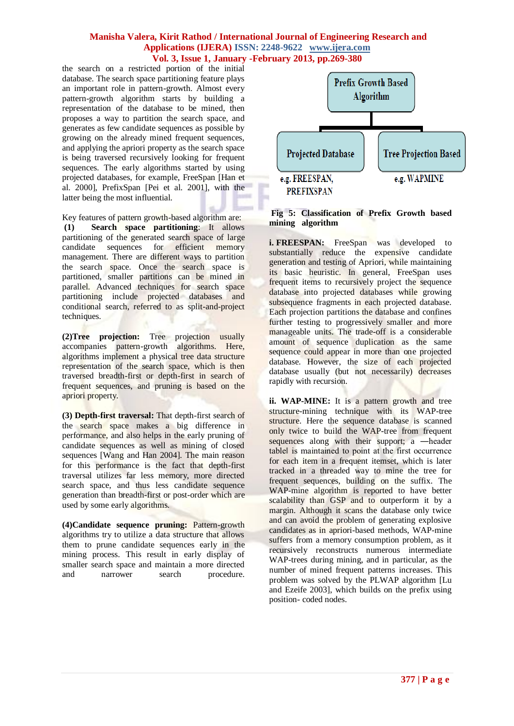the search on a restricted portion of the initial database. The search space partitioning feature plays an important role in pattern-growth. Almost every pattern-growth algorithm starts by building a representation of the database to be mined, then proposes a way to partition the search space, and generates as few candidate sequences as possible by growing on the already mined frequent sequences, and applying the apriori property as the search space is being traversed recursively looking for frequent sequences. The early algorithms started by using projected databases, for example, FreeSpan [Han et al. 2000], PrefixSpan [Pei et al. 2001], with the latter being the most influential.

Key features of pattern growth-based algorithm are:

**(1) Search space partitioning**: It allows partitioning of the generated search space of large candidate sequences for efficient memory management. There are different ways to partition the search space. Once the search space is partitioned, smaller partitions can be mined in parallel. Advanced techniques for search space partitioning include projected databases and conditional search, referred to as split-and-project techniques.

**(2)Tree projection:** Tree projection usually accompanies pattern-growth algorithms. Here, algorithms implement a physical tree data structure representation of the search space, which is then traversed breadth-first or depth-first in search of frequent sequences, and pruning is based on the apriori property.

**(3) Depth-first traversal:** That depth-first search of the search space makes a big difference in performance, and also helps in the early pruning of candidate sequences as well as mining of closed sequences [Wang and Han 2004]. The main reason for this performance is the fact that depth-first traversal utilizes far less memory, more directed search space, and thus less candidate sequence generation than breadth-first or post-order which are used by some early algorithms.

**(4)Candidate sequence pruning:** Pattern-growth algorithms try to utilize a data structure that allows them to prune candidate sequences early in the mining process. This result in early display of smaller search space and maintain a more directed and narrower search procedure.



**Fig 5: Classification of Prefix Growth based mining algorithm**

**i. FREESPAN:** FreeSpan was developed to substantially reduce the expensive candidate generation and testing of Apriori, while maintaining its basic heuristic. In general, FreeSpan uses frequent items to recursively project the sequence database into projected databases while growing subsequence fragments in each projected database. Each projection partitions the database and confines further testing to progressively smaller and more manageable units. The trade-off is a considerable amount of sequence duplication as the same sequence could appear in more than one projected database. However, the size of each projected database usually (but not necessarily) decreases rapidly with recursion.

**ii.** WAP-MINE: It is a pattern growth and tree structure-mining technique with its WAP-tree structure. Here the sequence database is scanned only twice to build the WAP-tree from frequent sequences along with their support; a —header table‖ is maintained to point at the first occurrence for each item in a frequent itemset, which is later tracked in a threaded way to mine the tree for frequent sequences, building on the suffix. The WAP-mine algorithm is reported to have better scalability than GSP and to outperform it by a margin. Although it scans the database only twice and can avoid the problem of generating explosive candidates as in apriori-based methods, WAP-mine suffers from a memory consumption problem, as it recursively reconstructs numerous intermediate WAP-trees during mining, and in particular, as the number of mined frequent patterns increases. This problem was solved by the PLWAP algorithm [Lu and Ezeife 2003], which builds on the prefix using position- coded nodes.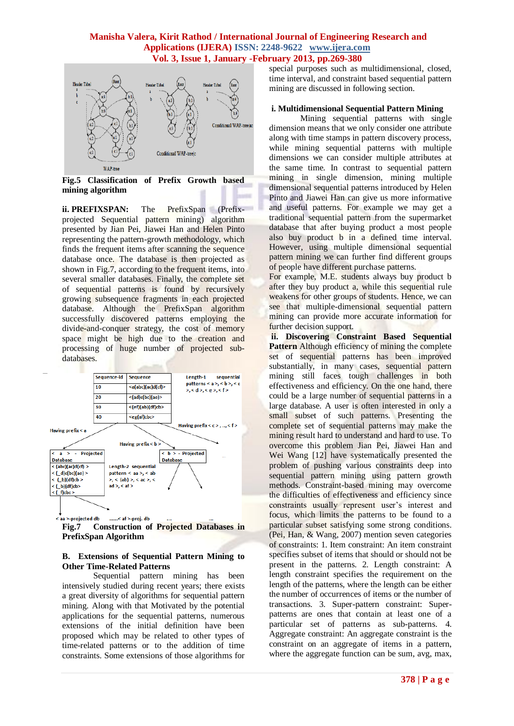

**Fig.5 Classification of Prefix Growth based mining algorithm**

**ii. PREFIXSPAN:** The **PrefixSpan** (Prefixprojected Sequential pattern mining) algorithm presented by Jian Pei, Jiawei Han and Helen Pinto representing the pattern-growth methodology, which finds the frequent items after scanning the sequence database once. The database is then projected as shown in Fig.7, according to the frequent items, into several smaller databases. Finally, the complete set of sequential patterns is found by recursively growing subsequence fragments in each projected database. Although the PrefixSpan algorithm successfully discovered patterns employing the divide-and-conquer strategy, the cost of memory space might be high due to the creation and processing of huge number of projected subdatabases.



**Fig.7 Construction of Projected Databases in PrefixSpan Algorithm**

#### **B. Extensions of Sequential Pattern Mining to Other Time-Related Patterns**

Sequential pattern mining has been intensively studied during recent years; there exists a great diversity of algorithms for sequential pattern mining. Along with that Motivated by the potential applications for the sequential patterns, numerous extensions of the initial definition have been proposed which may be related to other types of time-related patterns or to the addition of time constraints. Some extensions of those algorithms for special purposes such as multidimensional, closed, time interval, and constraint based sequential pattern mining are discussed in following section.

# **i. Multidimensional Sequential Pattern Mining**

Mining sequential patterns with single dimension means that we only consider one attribute along with time stamps in pattern discovery process, while mining sequential patterns with multiple dimensions we can consider multiple attributes at the same time. In contrast to sequential pattern mining in single dimension, mining multiple dimensional sequential patterns introduced by Helen Pinto and Jiawei Han can give us more informative and useful patterns. For example we may get a traditional sequential pattern from the supermarket database that after buying product a most people also buy product b in a defined time interval. However, using multiple dimensional sequential pattern mining we can further find different groups of people have different purchase patterns.

For example, M.E. students always buy product b after they buy product a, while this sequential rule weakens for other groups of students. Hence, we can see that multiple-dimensional sequential pattern mining can provide more accurate information for further decision support.

**ii. Discovering Constraint Based Sequential Pattern** Although efficiency of mining the complete set of sequential patterns has been improved substantially, in many cases, sequential pattern mining still faces tough challenges in both effectiveness and efficiency. On the one hand, there could be a large number of sequential patterns in a large database. A user is often interested in only a small subset of such patterns. Presenting the complete set of sequential patterns may make the mining result hard to understand and hard to use. To overcome this problem Jian Pei, Jiawei Han and Wei Wang [12] have systematically presented the problem of pushing various constraints deep into sequential pattern mining using pattern growth methods. Constraint-based mining may overcome the difficulties of effectiveness and efficiency since constraints usually represent user's interest and focus, which limits the patterns to be found to a particular subset satisfying some strong conditions. (Pei, Han, & Wang, 2007) mention seven categories of constraints: 1. Item constraint: An item constraint specifies subset of items that should or should not be present in the patterns. 2. Length constraint: A length constraint specifies the requirement on the length of the patterns, where the length can be either the number of occurrences of items or the number of transactions. 3. Super-pattern constraint: Superpatterns are ones that contain at least one of a particular set of patterns as sub-patterns. 4. Aggregate constraint: An aggregate constraint is the constraint on an aggregate of items in a pattern, where the aggregate function can be sum, avg, max,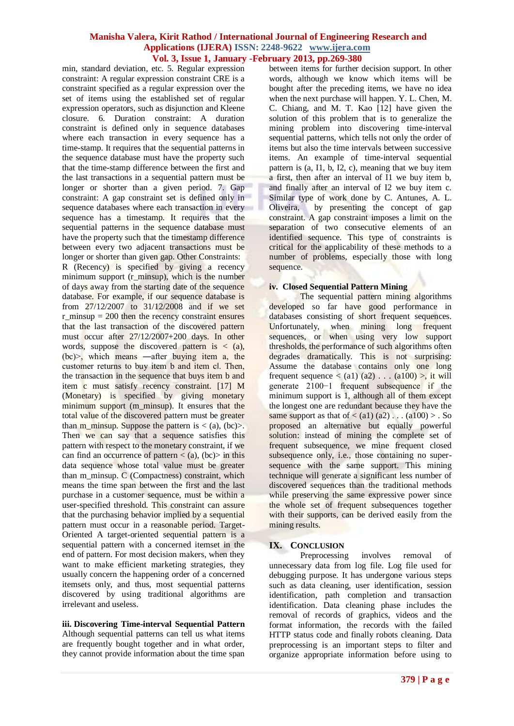min, standard deviation, etc. 5. Regular expression constraint: A regular expression constraint CRE is a constraint specified as a regular expression over the set of items using the established set of regular expression operators, such as disjunction and Kleene closure. 6. Duration constraint: A duration constraint is defined only in sequence databases where each transaction in every sequence has a time-stamp. It requires that the sequential patterns in the sequence database must have the property such that the time-stamp difference between the first and the last transactions in a sequential pattern must be longer or shorter than a given period. 7. Gap constraint: A gap constraint set is defined only in sequence databases where each transaction in every sequence has a timestamp. It requires that the sequential patterns in the sequence database must have the property such that the timestamp difference between every two adjacent transactions must be longer or shorter than given gap. Other Constraints:

R (Recency) is specified by giving a recency minimum support (r\_minsup), which is the number of days away from the starting date of the sequence database. For example, if our sequence database is from 27/12/2007 to 31/12/2008 and if we set r minsup  $= 200$  then the recency constraint ensures that the last transaction of the discovered pattern must occur after 27/12/2007+200 days. In other words, suppose the discovered pattern is  $\langle$  (a), (bc)>, which means ―after buying item a, the customer returns to buy item b and item cl. Then, the transaction in the sequence that buys item b and item c must satisfy recency constraint. [17] M (Monetary) is specified by giving monetary minimum support (m\_minsup). It ensures that the total value of the discovered pattern must be greater than m\_minsup. Suppose the pattern is  $\lt$  (a), (bc) $\gt$ . Then we can say that a sequence satisfies this pattern with respect to the monetary constraint, if we can find an occurrence of pattern  $\langle a, (bc) \rangle$  in this data sequence whose total value must be greater than m\_minsup. C (Compactness) constraint, which means the time span between the first and the last purchase in a customer sequence, must be within a user-specified threshold. This constraint can assure that the purchasing behavior implied by a sequential pattern must occur in a reasonable period. Target-Oriented A target-oriented sequential pattern is a sequential pattern with a concerned itemset in the end of pattern. For most decision makers, when they want to make efficient marketing strategies, they usually concern the happening order of a concerned itemsets only, and thus, most sequential patterns discovered by using traditional algorithms are irrelevant and useless.

**iii. Discovering Time-interval Sequential Pattern**  Although sequential patterns can tell us what items are frequently bought together and in what order, they cannot provide information about the time span between items for further decision support. In other words, although we know which items will be bought after the preceding items, we have no idea when the next purchase will happen. Y. L. Chen, M. C. Chiang, and M. T. Kao [12] have given the solution of this problem that is to generalize the mining problem into discovering time-interval sequential patterns, which tells not only the order of items but also the time intervals between successive items. An example of time-interval sequential pattern is  $(a, I1, b, I2, c)$ , meaning that we buy item a first, then after an interval of I1 we buy item b, and finally after an interval of I2 we buy item c. Similar type of work done by C. Antunes, A. L. Oliveira, by presenting the concept of gap constraint. A gap constraint imposes a limit on the separation of two consecutive elements of an identified sequence. This type of constraints is critical for the applicability of these methods to a number of problems, especially those with long sequence.

### **iv. Closed Sequential Pattern Mining**

The sequential pattern mining algorithms developed so far have good performance in databases consisting of short frequent sequences. Unfortunately, when mining long frequent sequences, or when using very low support thresholds, the performance of such algorithms often degrades dramatically. This is not surprising: Assume the database contains only one long frequent sequence  $\langle$  (a1) (a2) . . . (a100)  $\rangle$ , it will generate 2100−1 frequent subsequence if the minimum support is 1, although all of them except the longest one are redundant because they have the same support as that of  $\lt$  (a1) (a2) . . . (a100)  $>$  . So proposed an alternative but equally powerful solution: instead of mining the complete set of frequent subsequence, we mine frequent closed subsequence only, i.e., those containing no supersequence with the same support. This mining technique will generate a significant less number of discovered sequences than the traditional methods while preserving the same expressive power since the whole set of frequent subsequences together with their supports, can be derived easily from the mining results.

# **IX. CONCLUSION**

Preprocessing involves removal of unnecessary data from log file. Log file used for debugging purpose. It has undergone various steps such as data cleaning, user identification, session identification, path completion and transaction identification. Data cleaning phase includes the removal of records of graphics, videos and the format information, the records with the failed HTTP status code and finally robots cleaning. Data preprocessing is an important steps to filter and organize appropriate information before using to